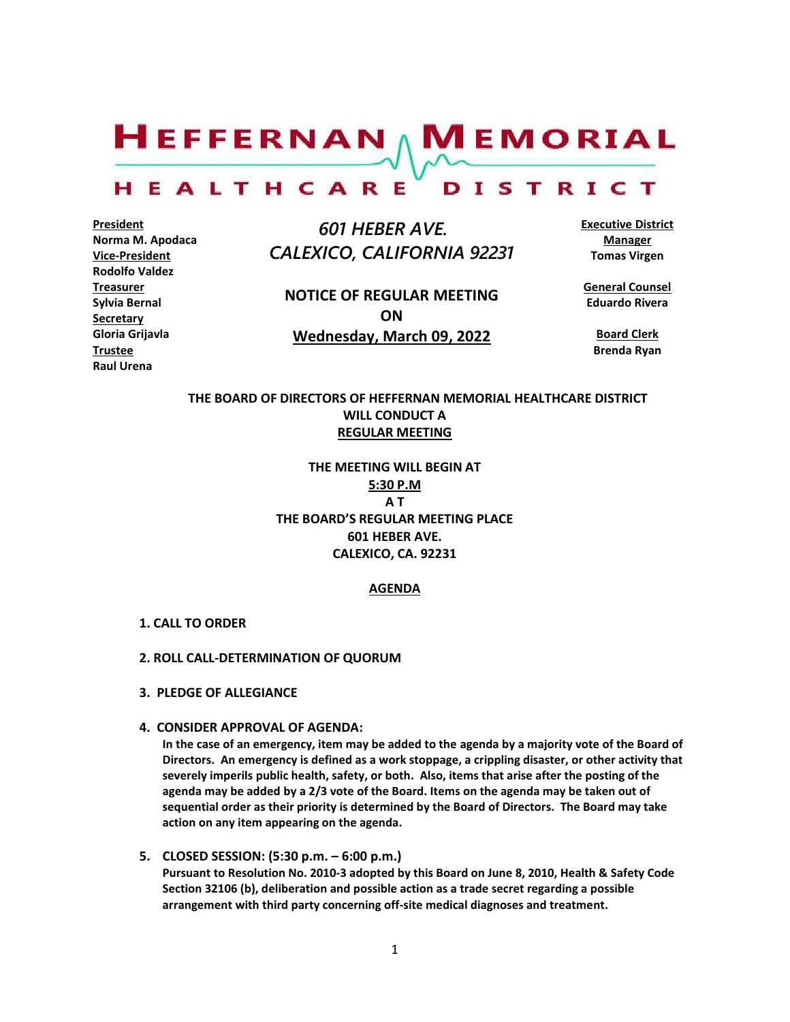$H$ EFFERNAN  $\wedge$  M EMORIAL

#### HEALTHCARE DISTRICT

**President Norma M. Apodaca Vice-President Rodolfo Valdez Treasurer Sylvia Bernal Secretary Gloria Grijavla Trustee Raul Urena**

 *601 HEBER AVE. CALEXICO, CALIFORNIA 92231*

**NOTICE OF REGULAR MEETING ON Wednesday, March 09, 2022**

**Executive District Manager Tomas Virgen**

**General Counsel Eduardo Rivera**

**Board Clerk Brenda Ryan**

# **THE BOARD OF DIRECTORS OF HEFFERNAN MEMORIAL HEALTHCARE DISTRICT WILL CONDUCT A REGULAR MEETING**

**THE MEETING WILL BEGIN AT 5:30 P.M A T THE BOARD'S REGULAR MEETING PLACE 601 HEBER AVE. CALEXICO, CA. 92231**

## **AGENDA**

- **1. CALL TO ORDER**
- **2. ROLL CALL-DETERMINATION OF QUORUM**
- **3. PLEDGE OF ALLEGIANCE**
- **4. CONSIDER APPROVAL OF AGENDA:**

**In the case of an emergency, item may be added to the agenda by a majority vote of the Board of Directors. An emergency is defined as a work stoppage, a crippling disaster, or other activity that severely imperils public health, safety, or both. Also, items that arise after the posting of the agenda may be added by a 2/3 vote of the Board. Items on the agenda may be taken out of sequential order as their priority is determined by the Board of Directors. The Board may take action on any item appearing on the agenda.**

**5. CLOSED SESSION: (5:30 p.m. – 6:00 p.m.) Pursuant to Resolution No. 2010-3 adopted by this Board on June 8, 2010, Health & Safety Code Section 32106 (b), deliberation and possible action as a trade secret regarding a possible arrangement with third party concerning off-site medical diagnoses and treatment.**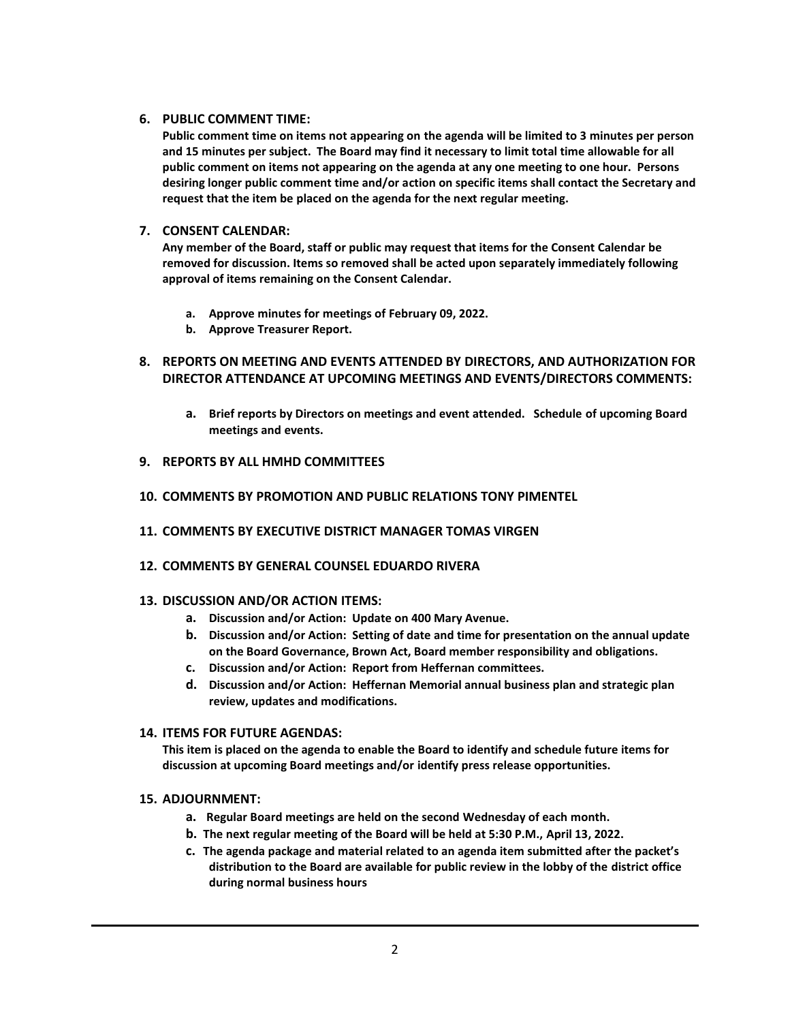## **6. PUBLIC COMMENT TIME:**

**Public comment time on items not appearing on the agenda will be limited to 3 minutes per person and 15 minutes per subject. The Board may find it necessary to limit total time allowable for all public comment on items not appearing on the agenda at any one meeting to one hour. Persons desiring longer public comment time and/or action on specific items shall contact the Secretary and request that the item be placed on the agenda for the next regular meeting.**

## **7. CONSENT CALENDAR:**

**Any member of the Board, staff or public may request that items for the Consent Calendar be removed for discussion. Items so removed shall be acted upon separately immediately following approval of items remaining on the Consent Calendar.**

- **a. Approve minutes for meetings of February 09, 2022.**
- **b. Approve Treasurer Report.**
- **8. REPORTS ON MEETING AND EVENTS ATTENDED BY DIRECTORS, AND AUTHORIZATION FOR DIRECTOR ATTENDANCE AT UPCOMING MEETINGS AND EVENTS/DIRECTORS COMMENTS:**
	- **a. Brief reports by Directors on meetings and event attended. Schedule of upcoming Board meetings and events.**
- **9. REPORTS BY ALL HMHD COMMITTEES**
- **10. COMMENTS BY PROMOTION AND PUBLIC RELATIONS TONY PIMENTEL**
- **11. COMMENTS BY EXECUTIVE DISTRICT MANAGER TOMAS VIRGEN**
- **12. COMMENTS BY GENERAL COUNSEL EDUARDO RIVERA**

## **13. DISCUSSION AND/OR ACTION ITEMS:**

- **a. Discussion and/or Action: Update on 400 Mary Avenue.**
- **b. Discussion and/or Action: Setting of date and time for presentation on the annual update on the Board Governance, Brown Act, Board member responsibility and obligations.**
- **c. Discussion and/or Action: Report from Heffernan committees.**
- **d. Discussion and/or Action: Heffernan Memorial annual business plan and strategic plan review, updates and modifications.**

## **14. ITEMS FOR FUTURE AGENDAS:**

**This item is placed on the agenda to enable the Board to identify and schedule future items for discussion at upcoming Board meetings and/or identify press release opportunities.**

## **15. ADJOURNMENT:**

- **a. Regular Board meetings are held on the second Wednesday of each month.**
- **b. The next regular meeting of the Board will be held at 5:30 P.M., April 13, 2022.**
- **c. The agenda package and material related to an agenda item submitted after the packet's distribution to the Board are available for public review in the lobby of the district office during normal business hours**